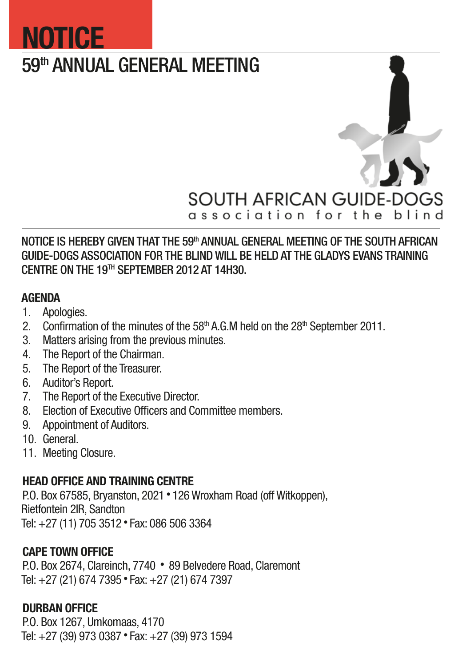# **NOTICE** 59th ANNUAL GENERAL MEETING

# **SOUTH AFRICAN GUIDE-DOGS** association for the blind

# NOTICE IS HEREBY GIVEN THAT THE 59th ANNUAL GENERAL MEETING OF THE SOUTH AFRICAN GUIDE-DOGS ASSOCIATION FOR THE BLIND WILL BE HELD AT THE GLADYS EVANS TRAINING CENTRE ON THE 19TH SEPTEMBER 2012 AT 14H30.

# **AGENDA**

- 1. Apologies.
- 2. Confirmation of the minutes of the  $58<sup>th</sup>$  A.G.M held on the  $28<sup>th</sup>$  September 2011.
- 3. Matters arising from the previous minutes.
- 4. The Report of the Chairman.
- 5. The Report of the Treasurer.
- 6. Auditor's Report.
- 7. The Report of the Executive Director.
- 8. Election of Executive Officers and Committee members.
- 9. Appointment of Auditors.
- 10. General.
- 11. Meeting Closure.

# HEAD OFFICE AND TRAINING CENTRE

P.O. Box 67585, Bryanston, 2021 • 126 Wroxham Road (off Witkoppen), Rietfontein 2IR, Sandton Tel: +27 (11) 705 3512 • Fax: 086 506 3364

# CAPE TOWN OFFICE

P.O. Box 2674, Clareinch, 7740 • 89 Belvedere Road, Claremont Tel: +27 (21) 674 7395 • Fax: +27 (21) 674 7397

# DURBAN OFFICE

P.O. Box 1267, Umkomaas, 4170 Tel: +27 (39) 973 0387 • Fax: +27 (39) 973 1594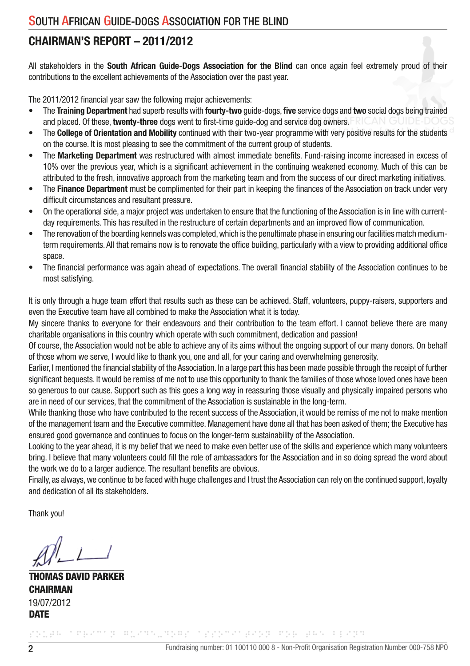# CHAIRMAN'S REPORT – 2011/2012

All stakeholders in the South African Guide-Dogs Association for the Blind can once again feel extremely proud of their contributions to the excellent achievements of the Association over the past year.

The 2011/2012 financial year saw the following major achievements:

- The Training Department had superb results with fourty-two quide-dogs, five service dogs and two social dogs being trained and placed. Of these, twenty-three dogs went to first-time guide-dog and service dog owners.
- The College of Orientation and Mobility continued with their two-year programme with very positive results for the students on the course. It is most pleasing to see the commitment of the current group of students.
- The Marketing Department was restructured with almost immediate benefits. Fund-raising income increased in excess of 10% over the previous year, which is a significant achievement in the continuing weakened economy. Much of this can be attributed to the fresh, innovative approach from the marketing team and from the success of our direct marketing initiatives.
- The Finance Department must be complimented for their part in keeping the finances of the Association on track under very difficult circumstances and resultant pressure.
- On the operational side, a major project was undertaken to ensure that the functioning of the Association is in line with currentday requirements. This has resulted in the restructure of certain departments and an improved flow of communication.
- The renovation of the boarding kennels was completed, which is the penultimate phase in ensuring our facilities match mediumterm requirements. All that remains now is to renovate the office building, particularly with a view to providing additional office space.
- The financial performance was again ahead of expectations. The overall financial stability of the Association continues to be most satisfying.

It is only through a huge team effort that results such as these can be achieved. Staff, volunteers, puppy-raisers, supporters and even the Executive team have all combined to make the Association what it is today.

My sincere thanks to everyone for their endeavours and their contribution to the team effort. I cannot believe there are many charitable organisations in this country which operate with such commitment, dedication and passion!

Of course, the Association would not be able to achieve any of its aims without the ongoing support of our many donors. On behalf of those whom we serve, I would like to thank you, one and all, for your caring and overwhelming generosity.

Earlier, I mentioned the financial stability of the Association. In a large part this has been made possible through the receipt of further significant bequests. It would be remiss of me not to use this opportunity to thank the families of those whose loved ones have been so generous to our cause. Support such as this goes a long way in reassuring those visually and physically impaired persons who are in need of our services, that the commitment of the Association is sustainable in the long-term.

While thanking those who have contributed to the recent success of the Association, it would be remiss of me not to make mention of the management team and the Executive committee. Management have done all that has been asked of them; the Executive has ensured good governance and continues to focus on the longer-term sustainability of the Association.

Looking to the year ahead, it is my belief that we need to make even better use of the skills and experience which many volunteers bring. I believe that many volunteers could fill the role of ambassadors for the Association and in so doing spread the word about the work we do to a larger audience. The resultant benefits are obvious.

Finally, as always, we continue to be faced with huge challenges and I trust the Association can rely on the continued support, loyalty and dedication of all its stakeholders.

Thank you!

THOMAS DAVID PARKER **CHAIRMAN DATE** 19/07/2012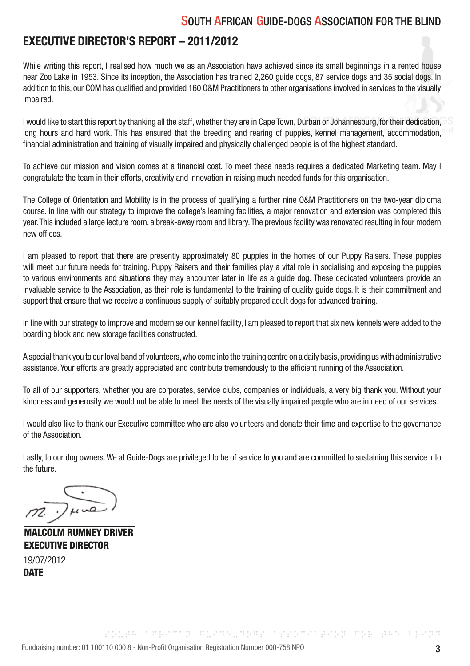# EXECUTIVE DIRECTOR'S REPORT – 2011/2012

While writing this report. I realised how much we as an Association have achieved since its small beginnings in a rented house near Zoo Lake in 1953. Since its inception, the Association has trained 2,260 guide dogs, 87 service dogs and 35 social dogs. In addition to this, our COM has qualified and provided 160 O&M Practitioners to other organisations involved in services to the visually impaired.

I would like to start this report by thanking all the staff, whether they are in Cape Town, Durban or Johannesburg, for their dedication, long hours and hard work. This has ensured that the breeding and rearing of puppies, kennel management, accommodation, financial administration and training of visually impaired and physically challenged people is of the highest standard.

To achieve our mission and vision comes at a financial cost. To meet these needs requires a dedicated Marketing team. May I congratulate the team in their efforts, creativity and innovation in raising much needed funds for this organisation.

The College of Orientation and Mobility is in the process of qualifying a further nine O&M Practitioners on the two-year diploma course. In line with our strategy to improve the college's learning facilities, a major renovation and extension was completed this year. This included a large lecture room, a break-away room and library. The previous facility was renovated resulting in four modern new offices.

I am pleased to report that there are presently approximately 80 puppies in the homes of our Puppy Raisers. These puppies will meet our future needs for training. Puppy Raisers and their families play a vital role in socialising and exposing the puppies to various environments and situations they may encounter later in life as a guide dog. These dedicated volunteers provide an invaluable service to the Association, as their role is fundamental to the training of quality guide dogs. It is their commitment and support that ensure that we receive a continuous supply of suitably prepared adult dogs for advanced training.

In line with our strategy to improve and modernise our kennel facility, I am pleased to report that six new kennels were added to the boarding block and new storage facilities constructed.

A special thank you to our loyal band of volunteers, who come into the training centre on a daily basis, providing us with administrative assistance. Your efforts are greatly appreciated and contribute tremendously to the efficient running of the Association.

To all of our supporters, whether you are corporates, service clubs, companies or individuals, a very big thank you. Without your kindness and generosity we would not be able to meet the needs of the visually impaired people who are in need of our services.

I would also like to thank our Executive committee who are also volunteers and donate their time and expertise to the governance of the Association.

Lastly, to our dog owners. We at Guide-Dogs are privileged to be of service to you and are committed to sustaining this service into the future.

SOUTH AFRICAN GUIDE-DOGS ASSOCIATION FOR THE BLIND

 $m.\overline{u}$ 

MALCOLM RUMNEY DRIVER EXECUTIVE DIRECTOR 19/07/2012

**DATE**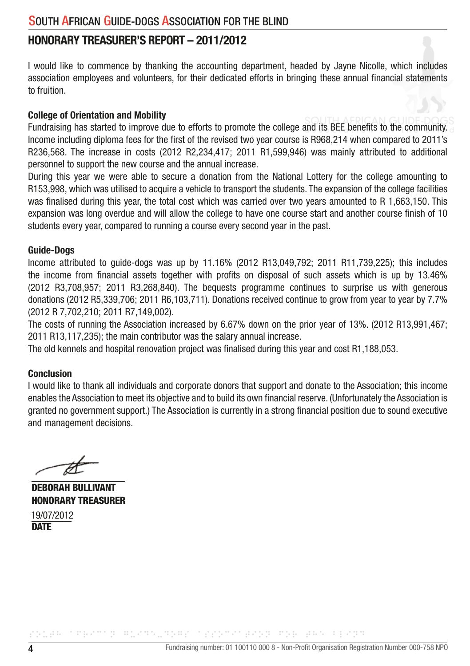# HONORARY TREASURER'S REPORT – 2011/2012

I would like to commence by thanking the accounting department, headed by Jayne Nicolle, which includes association employees and volunteers, for their dedicated efforts in bringing these annual financial statements to fruition.

#### College of Orientation and Mobility

Fundraising has started to improve due to efforts to promote the college and its BEE benefits to the community. Income including diploma fees for the first of the revised two year course is R968,214 when compared to 2011's R236,568. The increase in costs (2012 R2,234,417; 2011 R1,599,946) was mainly attributed to additional personnel to support the new course and the annual increase.

During this year we were able to secure a donation from the National Lottery for the college amounting to R153,998, which was utilised to acquire a vehicle to transport the students. The expansion of the college facilities was finalised during this year, the total cost which was carried over two years amounted to R 1,663,150. This expansion was long overdue and will allow the college to have one course start and another course finish of 10 students every year, compared to running a course every second year in the past.

#### Guide-Dogs

Income attributed to guide-dogs was up by 11.16% (2012 R13,049,792; 2011 R11,739,225); this includes the income from financial assets together with profits on disposal of such assets which is up by 13.46% (2012 R3,708,957; 2011 R3,268,840). The bequests programme continues to surprise us with generous donations (2012 R5,339,706; 2011 R6,103,711). Donations received continue to grow from year to year by 7.7% (2012 R 7,702,210; 2011 R7,149,002).

The costs of running the Association increased by 6.67% down on the prior year of 13%. (2012 R13,991,467; 2011 R13,117,235); the main contributor was the salary annual increase.

The old kennels and hospital renovation project was finalised during this year and cost R1,188,053.

#### **Conclusion**

I would like to thank all individuals and corporate donors that support and donate to the Association; this income enables the Association to meet its objective and to build its own financial reserve. (Unfortunately the Association is granted no government support.) The Association is currently in a strong financial position due to sound executive and management decisions.

DEBORAH BULLIVANT HONORARY TREASURER **DATE** 19/07/2012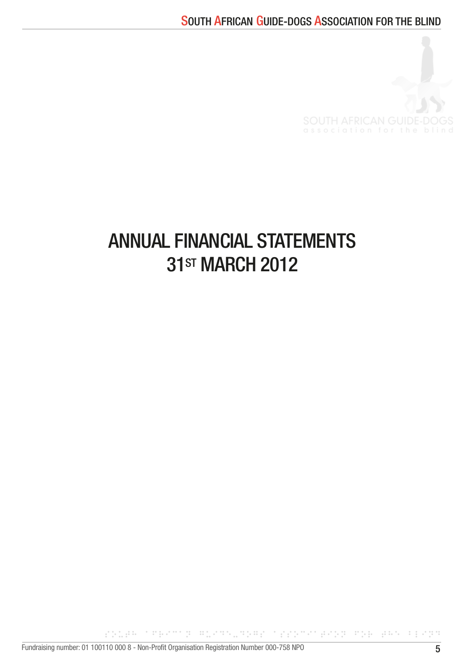

# ANNUAL FINANCIAL STATEMENTS **31ST MARCH 2012**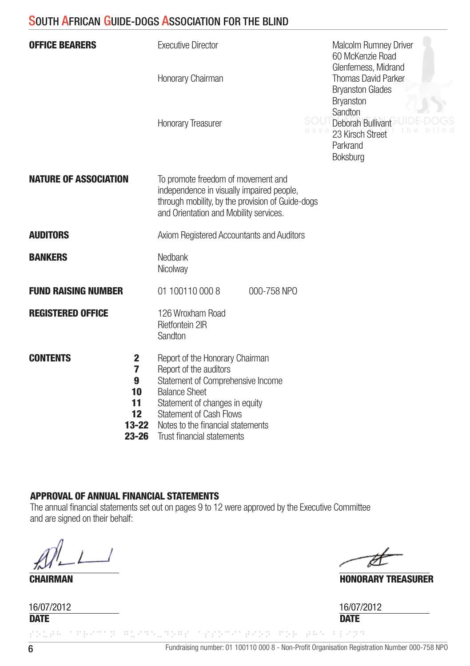| <b>OFFICE BEARERS</b>                                                                                       | <b>Executive Director</b>                                                                                                                                                                                                                                     | <b>Malcolm Rumney Driver</b><br>60 McKenzie Road                                             |
|-------------------------------------------------------------------------------------------------------------|---------------------------------------------------------------------------------------------------------------------------------------------------------------------------------------------------------------------------------------------------------------|----------------------------------------------------------------------------------------------|
|                                                                                                             | Honorary Chairman                                                                                                                                                                                                                                             | Glenferness, Midrand<br><b>Thomas David Parker</b><br><b>Bryanston Glades</b>                |
|                                                                                                             | <b>Honorary Treasurer</b>                                                                                                                                                                                                                                     | <b>Bryanston</b><br>Sandton<br>Deborah Bullivant<br>23 Kirsch Street<br>Parkrand<br>Boksburg |
| <b>NATURE OF ASSOCIATION</b>                                                                                | To promote freedom of movement and<br>independence in visually impaired people,<br>through mobility, by the provision of Guide-dogs<br>and Orientation and Mobility services.                                                                                 |                                                                                              |
| <b>AUDITORS</b>                                                                                             | Axiom Registered Accountants and Auditors                                                                                                                                                                                                                     |                                                                                              |
| <b>BANKERS</b>                                                                                              | Nedbank<br>Nicolway                                                                                                                                                                                                                                           |                                                                                              |
| <b>FUND RAISING NUMBER</b>                                                                                  | 01 100110 000 8<br>000-758 NPO                                                                                                                                                                                                                                |                                                                                              |
| <b>REGISTERED OFFICE</b>                                                                                    | 126 Wroxham Road<br><b>Rietfontein 2IR</b><br>Sandton                                                                                                                                                                                                         |                                                                                              |
| <b>CONTENTS</b><br>$\mathbf{2}$<br>$\overline{\mathbf{z}}$<br>9<br>10<br>11<br>12<br>$13 - 22$<br>$23 - 26$ | Report of the Honorary Chairman<br>Report of the auditors<br>Statement of Comprehensive Income<br><b>Balance Sheet</b><br>Statement of changes in equity<br><b>Statement of Cash Flows</b><br>Notes to the financial statements<br>Trust financial statements |                                                                                              |

#### APPROVAL OF ANNUAL FINANCIAL STATEMENTS

The annual financial statements set out on pages 9 to 12 were approved by the Executive Committee and are signed on their behalf:

t

**CHAIRMAN HONORARY TREASURER** 

| <b>DATE</b> | <b>DATE</b> |
|-------------|-------------|
| 16/07/2012  | 16/07/2012  |

SOUTH AFRICAN GUIDE-DOGS ASSOCIATION FOR THE BLIND

6 Fundraising number: 01 100110 000 8 - Non-Profit Organisation Registration Number 000-758 NPO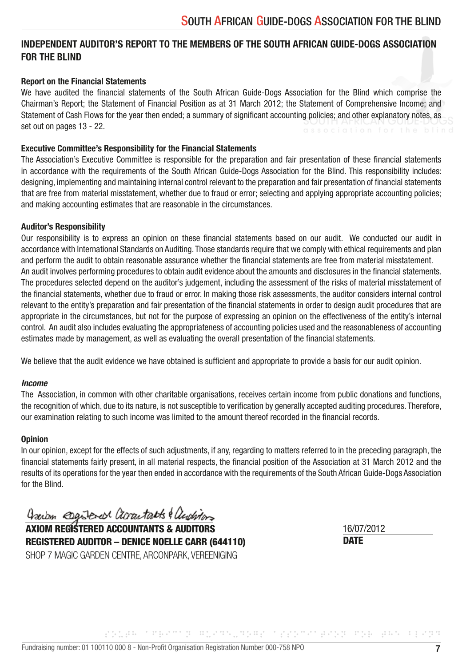#### INDEPENDENT AUDITOR'S REPORT TO THE MEMBERS OF THE SOUTH AFRICAN GUIDE-DOGS ASSOCIATION FOR THE BLIND

#### Report on the Financial Statements

We have audited the financial statements of the South African Guide-Dogs Association for the Blind which comprise the Chairman's Report; the Statement of Financial Position as at 31 March 2012; the Statement of Comprehensive Income; and Statement of Cash Flows for the year then ended; a summary of significant accounting policies; and other explanatory notes, as set out on pages 13 - 22.

#### Executive Committee's Responsibility for the Financial Statements

The Association's Executive Committee is responsible for the preparation and fair presentation of these financial statements in accordance with the requirements of the South African Guide-Dogs Association for the Blind. This responsibility includes: designing, implementing and maintaining internal control relevant to the preparation and fair presentation of financial statements that are free from material misstatement, whether due to fraud or error; selecting and applying appropriate accounting policies; and making accounting estimates that are reasonable in the circumstances.

#### Auditor's Responsibility

Our responsibility is to express an opinion on these financial statements based on our audit. We conducted our audit in accordance with International Standards on Auditing. Those standards require that we comply with ethical requirements and plan and perform the audit to obtain reasonable assurance whether the financial statements are free from material misstatement. An audit involves performing procedures to obtain audit evidence about the amounts and disclosures in the financial statements. The procedures selected depend on the auditor's judgement, including the assessment of the risks of material misstatement of the financial statements, whether due to fraud or error. In making those risk assessments, the auditor considers internal control relevant to the entity's preparation and fair presentation of the financial statements in order to design audit procedures that are appropriate in the circumstances, but not for the purpose of expressing an opinion on the effectiveness of the entity's internal control. An audit also includes evaluating the appropriateness of accounting policies used and the reasonableness of accounting estimates made by management, as well as evaluating the overall presentation of the financial statements.

We believe that the audit evidence we have obtained is sufficient and appropriate to provide a basis for our audit opinion.

#### *Income*

The Association, in common with other charitable organisations, receives certain income from public donations and functions, the recognition of which, due to its nature, is not susceptible to verification by generally accepted auditing procedures. Therefore, our examination relating to such income was limited to the amount thereof recorded in the financial records.

#### **Opinion**

In our opinion, except for the effects of such adjustments, if any, regarding to matters referred to in the preceding paragraph, the financial statements fairly present, in all material respects, the financial position of the Association at 31 March 2012 and the results of its operations for the year then ended in accordance with the requirements of the South African Guide-Dogs Association for the Blind.

SOUTH AFRICAN GUIDE-DOGS ASSOCIATION FOR THE BLIND

Assion eggstered accountants & auditors

AXIOM REGISTERED ACCOUNTANTS & AUDITORS REGISTERED AUDITOR – DENICE NOELLE CARR (644110) SHOP 7 MAGIC GARDEN CENTRE, ARCONPARK, VEREENIGING

**DATE** 16/07/2012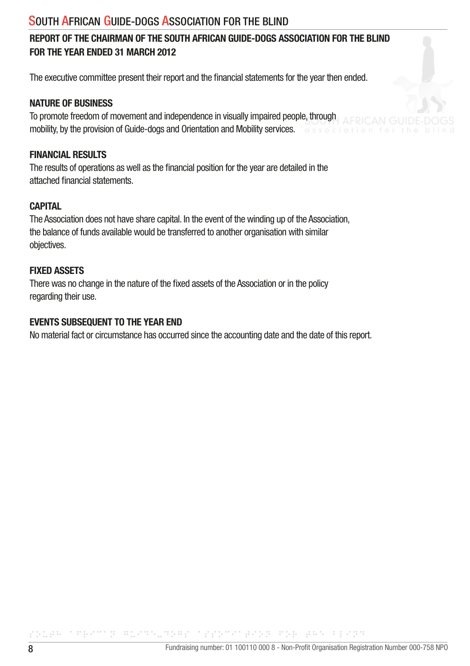#### REPORT OF THE CHAIRMAN OF THE SOUTH AFRICAN GUIDE-DOGS ASSOCIATION FOR THE BLIND FOR THE YEAR ENDED 31 MARCH 2012

The executive committee present their report and the financial statements for the year then ended.

#### NATURE OF BUSINESS

To promote freedom of movement and independence in visually impaired people, through mobility, by the provision of Guide-dogs and Orientation and Mobility services.

#### FINANCIAL RESULTS

The results of operations as well as the financial position for the year are detailed in the attached financial statements.

#### CAPITAL

The Association does not have share capital. In the event of the winding up of the Association, the balance of funds available would be transferred to another organisation with similar objectives.

#### FIXED ASSETS

There was no change in the nature of the fixed assets of the Association or in the policy regarding their use.

#### EVENTS SUBSEQUENT TO THE YEAR END

No material fact or circumstance has occurred since the accounting date and the date of this report.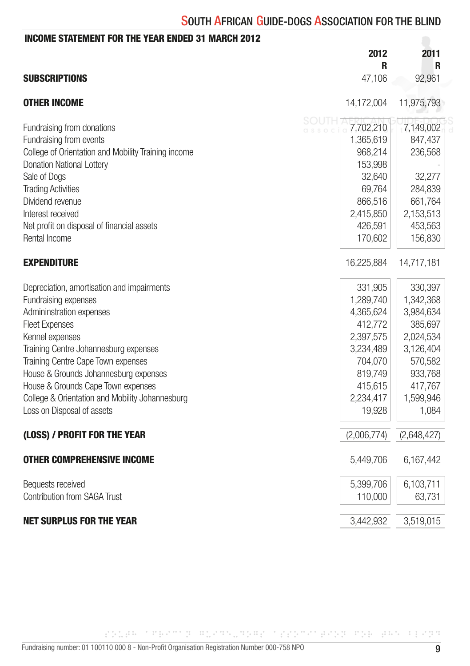| <b>INCOME STATEMENT FOR THE YEAR ENDED 31 MARCH 2012</b> |                  |             |
|----------------------------------------------------------|------------------|-------------|
|                                                          | 2012<br>R        | 2011<br>R   |
| <b>SUBSCRIPTIONS</b>                                     | 47,106           | 92,961      |
| <b>OTHER INCOME</b>                                      | 14,172,004       | 11,975,793  |
| Fundraising from donations                               | SOUTH 47,702,210 | 7,149,002   |
| Fundraising from events                                  | 1,365,619        | 847,437     |
| College of Orientation and Mobility Training income      | 968,214          | 236,568     |
| <b>Donation National Lottery</b>                         | 153,998          |             |
| Sale of Dogs                                             | 32,640           | 32,277      |
| <b>Trading Activities</b>                                | 69,764           | 284,839     |
| Dividend revenue                                         | 866,516          | 661,764     |
| Interest received                                        | 2,415,850        | 2,153,513   |
| Net profit on disposal of financial assets               | 426,591          | 453,563     |
| Rental Income                                            | 170,602          | 156,830     |
| <b>EXPENDITURE</b>                                       | 16,225,884       | 14,717,181  |
| Depreciation, amortisation and impairments               | 331,905          | 330,397     |
| Fundraising expenses                                     | 1,289,740        | 1,342,368   |
| Admininstration expenses                                 | 4,365,624        | 3,984,634   |
| <b>Fleet Expenses</b>                                    | 412,772          | 385,697     |
| Kennel expenses                                          | 2,397,575        | 2,024,534   |
| Training Centre Johannesburg expenses                    | 3,234,489        | 3,126,404   |
| Training Centre Cape Town expenses                       | 704,070          | 570,582     |
| House & Grounds Johannesburg expenses                    | 819,749          | 933,768     |
| House & Grounds Cape Town expenses                       | 415,615          | 417,767     |
| College & Orientation and Mobility Johannesburg          | 2,234,417        | 1,599,946   |
| Loss on Disposal of assets                               | 19,928           | 1,084       |
| (LOSS) / PROFIT FOR THE YEAR                             | (2,006,774)      | (2,648,427) |
| <b>OTHER COMPREHENSIVE INCOME</b>                        | 5,449,706        | 6,167,442   |
| Bequests received                                        | 5,399,706        | 6,103,711   |
| <b>Contribution from SAGA Trust</b>                      | 110,000          | 63,731      |
| <b>NET SURPLUS FOR THE YEAR</b>                          | 3,442,932        | 3,519,015   |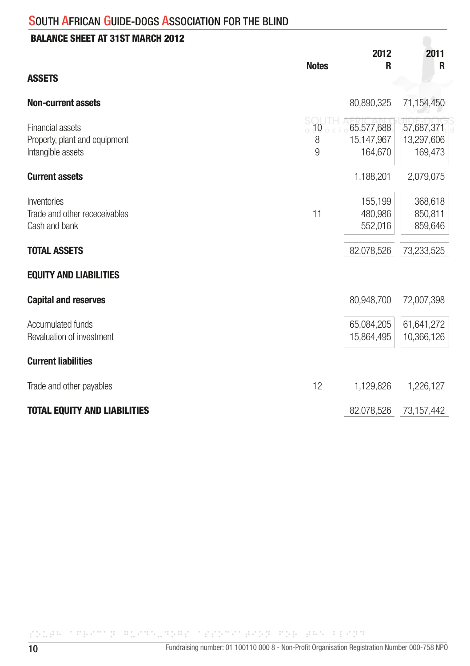| <b>BALANCE SHEET AT 31ST MARCH 2012</b>                                |                  |                                     |                                     |
|------------------------------------------------------------------------|------------------|-------------------------------------|-------------------------------------|
|                                                                        | <b>Notes</b>     | 2012<br>R                           | 2011<br>R                           |
| <b>ASSETS</b>                                                          |                  |                                     |                                     |
| <b>Non-current assets</b>                                              |                  | 80,890,325                          | 71,154,450                          |
| Financial assets<br>Property, plant and equipment<br>Intangible assets | $SO_0$<br>8<br>9 | 65,577,688<br>15,147,967<br>164,670 | 57,687,371<br>13,297,606<br>169,473 |
| <b>Current assets</b>                                                  |                  | 1,188,201                           | 2,079,075                           |
| Inventories<br>Trade and other receceivables<br>Cash and bank          | 11               | 155,199<br>480.986<br>552,016       | 368,618<br>850,811<br>859,646       |
| <b>TOTAL ASSETS</b>                                                    |                  | 82,078,526                          | 73,233,525                          |
| <b>EQUITY AND LIABILITIES</b>                                          |                  |                                     |                                     |
| <b>Capital and reserves</b>                                            |                  | 80.948.700                          | 72,007,398                          |
| Accumulated funds<br>Revaluation of investment                         |                  | 65,084,205<br>15,864,495            | 61,641,272<br>10,366,126            |
| <b>Current liabilities</b>                                             |                  |                                     |                                     |
| Trade and other payables                                               | 12               | 1,129,826                           | 1,226,127                           |
| <b>TOTAL EQUITY AND LIABILITIES</b>                                    |                  | 82,078,526                          | 73,157,442                          |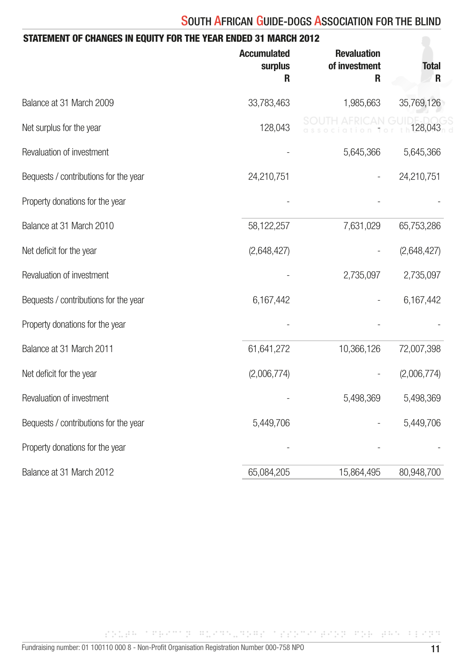| STATEMENT OF CHANGES IN EQUITY FOR THE YEAR ENDED 31 MARCH 2012 |                                    |                                          |                   |  |  |  |  |
|-----------------------------------------------------------------|------------------------------------|------------------------------------------|-------------------|--|--|--|--|
|                                                                 | <b>Accumulated</b><br>surplus<br>R | <b>Revaluation</b><br>of investment<br>R | <b>Total</b><br>R |  |  |  |  |
| Balance at 31 March 2009                                        | 33,783,463                         | 1,985,663                                | 35,769,126        |  |  |  |  |
| Net surplus for the year                                        | 128,043                            |                                          | 128,043           |  |  |  |  |
| Revaluation of investment                                       |                                    | 5,645,366                                | 5,645,366         |  |  |  |  |
| Bequests / contributions for the year                           | 24,210,751                         |                                          | 24,210,751        |  |  |  |  |
| Property donations for the year                                 |                                    |                                          |                   |  |  |  |  |
| Balance at 31 March 2010                                        | 58,122,257                         | 7,631,029                                | 65,753,286        |  |  |  |  |
| Net deficit for the year                                        | (2,648,427)                        |                                          | (2,648,427)       |  |  |  |  |
| Revaluation of investment                                       |                                    | 2,735,097                                | 2,735,097         |  |  |  |  |
| Bequests / contributions for the year                           | 6,167,442                          |                                          | 6,167,442         |  |  |  |  |
| Property donations for the year                                 |                                    |                                          |                   |  |  |  |  |
| Balance at 31 March 2011                                        | 61,641,272                         | 10,366,126                               | 72,007,398        |  |  |  |  |
| Net deficit for the year                                        | (2,006,774)                        |                                          | (2,006,774)       |  |  |  |  |
| Revaluation of investment                                       |                                    | 5,498,369                                | 5,498,369         |  |  |  |  |
| Bequests / contributions for the year                           | 5,449,706                          |                                          | 5,449,706         |  |  |  |  |
| Property donations for the year                                 |                                    |                                          |                   |  |  |  |  |
| Balance at 31 March 2012                                        | 65,084,205                         | 15,864,495                               | 80,948,700        |  |  |  |  |
|                                                                 |                                    |                                          |                   |  |  |  |  |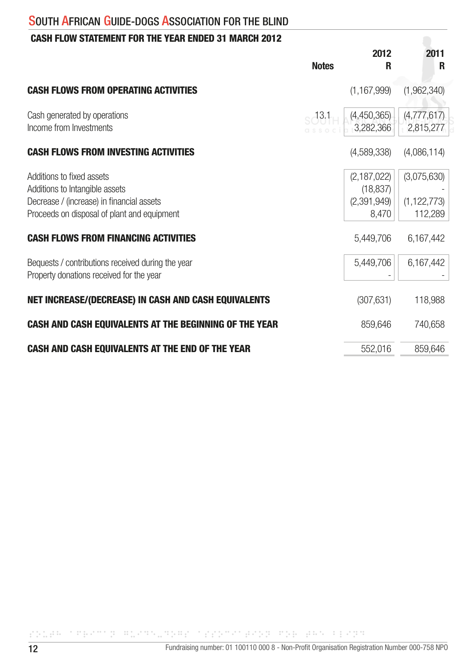## CASH FLOW STATEMENT FOR THE YEAR ENDED 31 MARCH 2012

|                                                                                                                                                         | <b>Notes</b> | 2012<br>R                                          | 2011<br>R                               |
|---------------------------------------------------------------------------------------------------------------------------------------------------------|--------------|----------------------------------------------------|-----------------------------------------|
| <b>CASH FLOWS FROM OPERATING ACTIVITIES</b>                                                                                                             |              | (1, 167, 999)                                      | (1,962,340)                             |
| Cash generated by operations<br>Income from Investments                                                                                                 | -13.1        | (4,450,365)<br>3,282,366                           | (4,777,617)<br>2,815,277                |
| <b>CASH FLOWS FROM INVESTING ACTIVITIES</b>                                                                                                             |              | (4,589,338)                                        | (4,086,114)                             |
| Additions to fixed assets<br>Additions to Intangible assets<br>Decrease / (increase) in financial assets<br>Proceeds on disposal of plant and equipment |              | (2, 187, 022)<br>(18, 837)<br>(2,391,949)<br>8,470 | (3,075,630)<br>(1, 122, 773)<br>112,289 |
| <b>CASH FLOWS FROM FINANCING ACTIVITIES</b>                                                                                                             |              | 5,449,706                                          | 6,167,442                               |
| Bequests / contributions received during the year<br>Property donations received for the year                                                           |              | 5,449,706                                          | 6,167,442                               |
| <b>NET INCREASE/(DECREASE) IN CASH AND CASH EQUIVALENTS</b>                                                                                             |              | (307, 631)                                         | 118,988                                 |
| CASH AND CASH EQUIVALENTS AT THE BEGINNING OF THE YEAR                                                                                                  |              | 859,646                                            | 740,658                                 |
| CASH AND CASH EQUIVALENTS AT THE END OF THE YEAR                                                                                                        |              | 552,016                                            | 859,646                                 |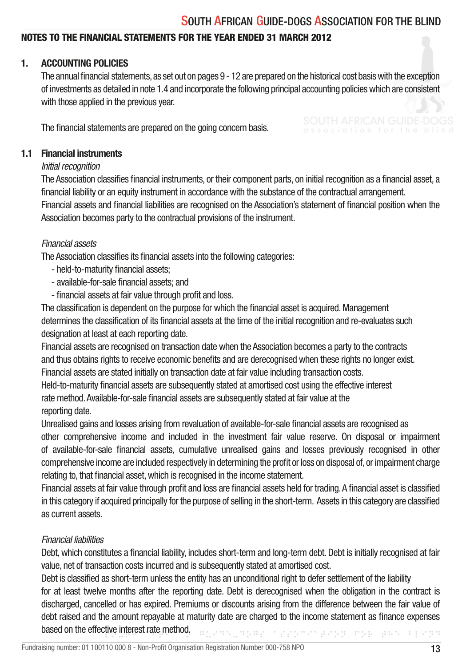#### NOTES TO THE FINANCIAL STATEMENTS FOR THE YEAR ENDED 31 MARCH 2012

#### 1. ACCOUNTING POLICIES

 The annual financial statements, as set out on pages 9 - 12 are prepared on the historical cost basis with the exception of investments as detailed in note 1.4 and incorporate the following principal accounting policies which are consistent with those applied in the previous year.

The financial statements are prepared on the going concern basis.

#### 1.1 Financial instruments

#### *Initial recognition*

 The Association classifies financial instruments, or their component parts, on initial recognition as a financial asset, a financial liability or an equity instrument in accordance with the substance of the contractual arrangement. Financial assets and financial liabilities are recognised on the Association's statement of financial position when the Association becomes party to the contractual provisions of the instrument.

#### *Financial assets*

The Association classifies its financial assets into the following categories:

- held-to-maturity financial assets;
- available-for-sale financial assets; and
- financial assets at fair value through profit and loss.

 The classification is dependent on the purpose for which the financial asset is acquired. Management determines the classification of its financial assets at the time of the initial recognition and re-evaluates such designation at least at each reporting date.

Financial assets are recognised on transaction date when the Association becomes a party to the contracts and thus obtains rights to receive economic benefits and are derecognised when these rights no longer exist. Financial assets are stated initially on transaction date at fair value including transaction costs.

Held-to-maturity financial assets are subsequently stated at amortised cost using the effective interest rate method. Available-for-sale financial assets are subsequently stated at fair value at the reporting date.

Unrealised gains and losses arising from revaluation of available-for-sale financial assets are recognised as

 other comprehensive income and included in the investment fair value reserve. On disposal or impairment of available-for-sale financial assets, cumulative unrealised gains and losses previously recognised in other comprehensive income are included respectively in determining the profit or loss on disposal of, or impairment charge relating to, that financial asset, which is recognised in the income statement.

 Financial assets at fair value through profit and loss are financial assets held for trading. A financial asset is classified in this category if acquired principally for the purpose of selling in the short-term. Assets in this category are classified as current assets.

#### *Financial liabilities*

 Debt, which constitutes a financial liability, includes short-term and long-term debt. Debt is initially recognised at fair value, net of transaction costs incurred and is subsequently stated at amortised cost.

Debt is classified as short-term unless the entity has an unconditional right to defer settlement of the liability

 for at least twelve months after the reporting date. Debt is derecognised when the obligation in the contract is discharged, cancelled or has expired. Premiums or discounts arising from the difference between the fair value of debt raised and the amount repayable at maturity date are charged to the income statement as finance expenses based on the effective interest rate method.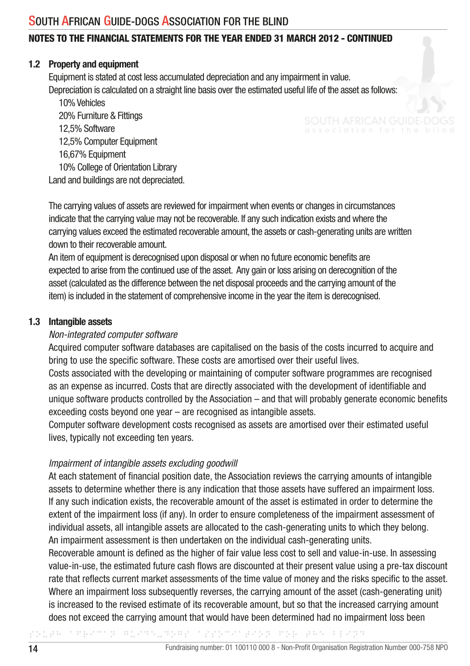#### NOTES TO THE FINANCIAL STATEMENTS FOR THE YEAR ENDED 31 MARCH 2012 - CONTINUED

#### 1.2 Property and equipment

Equipment is stated at cost less accumulated depreciation and any impairment in value. Depreciation is calculated on a straight line basis over the estimated useful life of the asset as follows:

 10% Vehicles 20% Furniture & Fittings 12,5% Software 12,5% Computer Equipment 16,67% Equipment 10% College of Orientation Library Land and buildings are not depreciated.

The carrying values of assets are reviewed for impairment when events or changes in circumstances indicate that the carrying value may not be recoverable. If any such indication exists and where the carrying values exceed the estimated recoverable amount, the assets or cash-generating units are written down to their recoverable amount.

An item of equipment is derecognised upon disposal or when no future economic benefits are expected to arise from the continued use of the asset. Any gain or loss arising on derecognition of the asset (calculated as the difference between the net disposal proceeds and the carrying amount of the item) is included in the statement of comprehensive income in the year the item is derecognised.

#### 1.3 Intangible assets

#### *Non-integrated computer software*

Acquired computer software databases are capitalised on the basis of the costs incurred to acquire and bring to use the specific software. These costs are amortised over their useful lives.

Costs associated with the developing or maintaining of computer software programmes are recognised as an expense as incurred. Costs that are directly associated with the development of identifiable and unique software products controlled by the Association – and that will probably generate economic benefits exceeding costs beyond one year – are recognised as intangible assets.

Computer software development costs recognised as assets are amortised over their estimated useful lives, typically not exceeding ten years.

#### *Impairment of intangible assets excluding goodwill*

At each statement of financial position date, the Association reviews the carrying amounts of intangible assets to determine whether there is any indication that those assets have suffered an impairment loss. If any such indication exists, the recoverable amount of the asset is estimated in order to determine the extent of the impairment loss (if any). In order to ensure completeness of the impairment assessment of individual assets, all intangible assets are allocated to the cash-generating units to which they belong. An impairment assessment is then undertaken on the individual cash-generating units.

Recoverable amount is defined as the higher of fair value less cost to sell and value-in-use. In assessing value-in-use, the estimated future cash flows are discounted at their present value using a pre-tax discount rate that reflects current market assessments of the time value of money and the risks specific to the asset. Where an impairment loss subsequently reverses, the carrying amount of the asset (cash-generating unit) is increased to the revised estimate of its recoverable amount, but so that the increased carrying amount does not exceed the carrying amount that would have been determined had no impairment loss been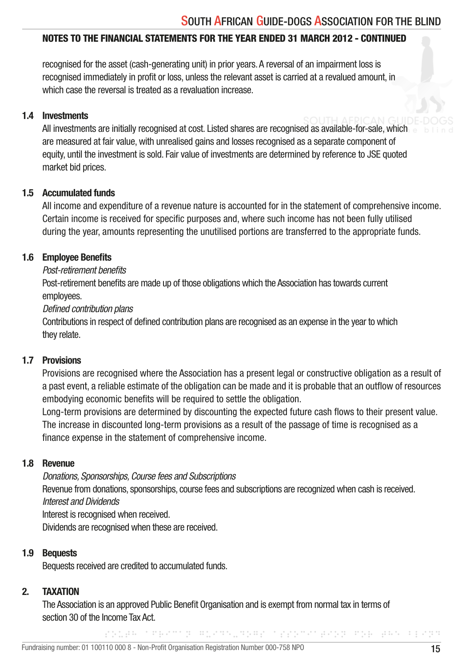#### NOTES TO THE FINANCIAL STATEMENTS FOR THE YEAR ENDED 31 MARCH 2012 - CONTINUED

recognised for the asset (cash-generating unit) in prior years. A reversal of an impairment loss is recognised immediately in profit or loss, unless the relevant asset is carried at a revalued amount, in which case the reversal is treated as a revaluation increase.

#### 1.4 Investments

All investments are initially recognised at cost. Listed shares are recognised as available-for-sale, which are measured at fair value, with unrealised gains and losses recognised as a separate component of equity, until the investment is sold. Fair value of investments are determined by reference to JSE quoted market bid prices.

#### 1.5 Accumulated funds

All income and expenditure of a revenue nature is accounted for in the statement of comprehensive income. Certain income is received for specific purposes and, where such income has not been fully utilised during the year, amounts representing the unutilised portions are transferred to the appropriate funds.

#### 1.6 Employee Benefits

#### *Post-retirement benefits*

Post-retirement benefits are made up of those obligations which the Association has towards current employees.

#### *Defined contribution plans*

Contributions in respect of defined contribution plans are recognised as an expense in the year to which they relate.

#### 1.7 Provisions

Provisions are recognised where the Association has a present legal or constructive obligation as a result of a past event, a reliable estimate of the obligation can be made and it is probable that an outflow of resources embodying economic benefits will be required to settle the obligation.

Long-term provisions are determined by discounting the expected future cash flows to their present value. The increase in discounted long-term provisions as a result of the passage of time is recognised as a finance expense in the statement of comprehensive income.

#### 1.8 Revenue

*Donations, Sponsorships, Course fees and Subscriptions*

Revenue from donations, sponsorships, course fees and subscriptions are recognized when cash is received. *Interest and Dividends*

Interest is recognised when received.

Dividends are recognised when these are received.

#### 1.9 Bequests

Bequests received are credited to accumulated funds.

#### 2. TAXATION

The Association is an approved Public Benefit Organisation and is exempt from normal tax in terms of section 30 of the Income Tax Act.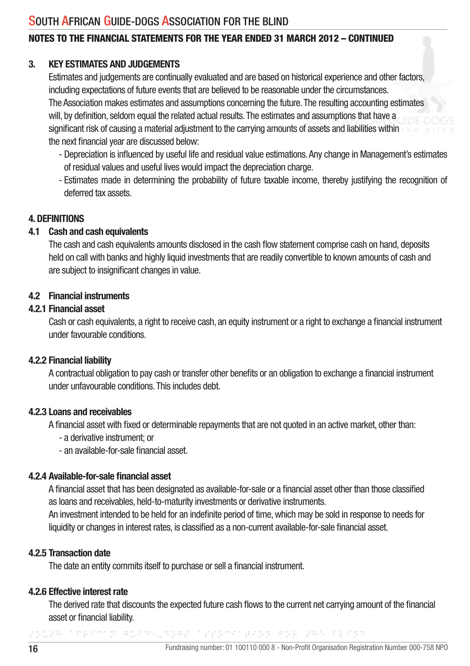#### NOTES TO THE FINANCIAL STATEMENTS FOR THE YEAR ENDED 31 MARCH 2012 – CONTINUED

#### 3. KEY ESTIMATES AND JUDGEMENTS

 Estimates and judgements are continually evaluated and are based on historical experience and other factors, including expectations of future events that are believed to be reasonable under the circumstances. The Association makes estimates and assumptions concerning the future. The resulting accounting estimates will, by definition, seldom equal the related actual results. The estimates and assumptions that have a significant risk of causing a material adjustment to the carrying amounts of assets and liabilities within the next financial year are discussed below:

- Depreciation is influenced by useful life and residual value estimations. Any change in Management's estimates of residual values and useful lives would impact the depreciation charge.
- Estimates made in determining the probability of future taxable income, thereby justifying the recognition of deferred tax assets.

#### 4. DEFINITIONS

#### 4.1 Cash and cash equivalents

The cash and cash equivalents amounts disclosed in the cash flow statement comprise cash on hand, deposits held on call with banks and highly liquid investments that are readily convertible to known amounts of cash and are subject to insignificant changes in value.

#### 4.2 Financial instruments

#### 4.2.1 Financial asset

Cash or cash equivalents, a right to receive cash, an equity instrument or a right to exchange a financial instrument under favourable conditions.

#### 4.2.2 Financial liability

A contractual obligation to pay cash or transfer other benefits or an obligation to exchange a financial instrument under unfavourable conditions. This includes debt.

#### 4.2.3 Loans and receivables

A financial asset with fixed or determinable repayments that are not quoted in an active market, other than:

- a derivative instrument; or
- an available-for-sale financial asset.

#### 4.2.4 Available-for-sale financial asset

A financial asset that has been designated as available-for-sale or a financial asset other than those classified as loans and receivables, held-to-maturity investments or derivative instruments.

An investment intended to be held for an indefinite period of time, which may be sold in response to needs for liquidity or changes in interest rates, is classified as a non-current available-for-sale financial asset.

#### 4.2.5 Transaction date

The date an entity commits itself to purchase or sell a financial instrument.

#### 4.2.6 Effective interest rate

The derived rate that discounts the expected future cash flows to the current net carrying amount of the financial asset or financial liability.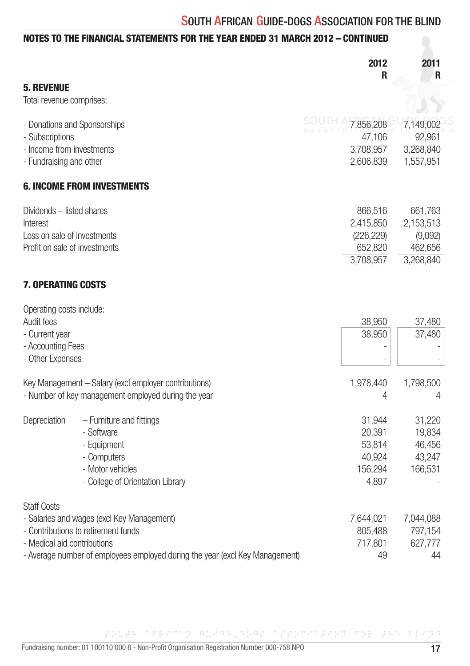## NOTES TO THE FINANCIAL STATEMENTS FOR THE YEAR ENDED 31 MARCH 2012 – CONTINUED

|                                                                                                                                                                                                                        | 2012<br>R                                                  | 2011<br>R                                               |
|------------------------------------------------------------------------------------------------------------------------------------------------------------------------------------------------------------------------|------------------------------------------------------------|---------------------------------------------------------|
| <b>5. REVENUE</b><br>Total revenue comprises:                                                                                                                                                                          |                                                            |                                                         |
| - Donations and Sponsorships<br>- Subscriptions<br>- Income from investments<br>- Fundraising and other                                                                                                                | 7,856,208<br>47,106<br>3,708,957<br>2,606,839              | 7,149,002<br>92,961<br>3,268,840<br>1,557,951           |
| <b>6. INCOME FROM INVESTMENTS</b>                                                                                                                                                                                      |                                                            |                                                         |
| Dividends - listed shares<br>Interest<br>Loss on sale of investments<br>Profit on sale of investments                                                                                                                  | 866,516<br>2,415,850<br>(226, 229)<br>652,820<br>3,708,957 | 661,763<br>2,153,513<br>(9,092)<br>462,656<br>3,268,840 |
| <b>7. OPERATING COSTS</b>                                                                                                                                                                                              |                                                            |                                                         |
| Operating costs include:<br>Audit fees<br>- Current year<br>- Accounting Fees<br>- Other Expenses<br>Key Management - Salary (excl employer contributions)<br>- Number of key management employed during the year      | 38,950<br>38,950<br>$\overline{a}$<br>1,978,440<br>4       | 37,480<br>37,480<br>1,798,500<br>4                      |
| Depreciation<br>- Furniture and fittings<br>- Software<br>- Equipment<br>- Computers<br>- Motor vehicles<br>- College of Orientation Library                                                                           | 31,944<br>20,391<br>53,814<br>40,924<br>156,294<br>4,897   | 31,220<br>19,834<br>46,456<br>43,247<br>166,531         |
| <b>Staff Costs</b><br>- Salaries and wages (excl Key Management)<br>- Contributions to retirement funds<br>- Medical aid contributions<br>- Average number of employees employed during the year (excl Key Management) | 7,644,021<br>805,488<br>717,801<br>49                      | 7,044,088<br>797,154<br>627,777<br>44                   |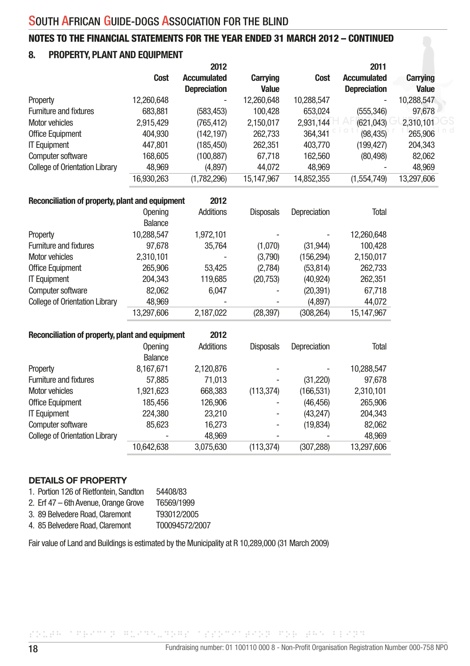# NOTES TO THE FINANCIAL STATEMENTS FOR THE YEAR ENDED 31 MARCH 2012 – CONTINUED

#### 8. PROPERTY, PLANT AND EQUIPMENT

|                                                 |            | 2012                |                  |              | 2011                |                 |
|-------------------------------------------------|------------|---------------------|------------------|--------------|---------------------|-----------------|
|                                                 | Cost       | <b>Accumulated</b>  | Carrying         | Cost         | <b>Accumulated</b>  | <b>Carrying</b> |
|                                                 |            | <b>Depreciation</b> | <b>Value</b>     |              | <b>Depreciation</b> | Value           |
| Property                                        | 12,260,648 |                     | 12,260,648       | 10,288,547   |                     | 10,288,547      |
| <b>Furniture and fixtures</b>                   | 683,881    | (583, 453)          | 100,428          | 653,024      | (555, 346)          | 97,678          |
| Motor vehicles                                  | 2,915,429  | (765, 412)          | 2,150,017        | 2,931,144    | (621, 043)          | 2,310,101       |
| Office Equipment                                | 404,930    | (142, 197)          | 262,733          | 364,341      | (98, 435)           | 265,906         |
| <b>IT Equipment</b>                             | 447,801    | (185, 450)          | 262,351          | 403,770      | (199, 427)          | 204,343         |
| Computer software                               | 168,605    | (100, 887)          | 67,718           | 162.560      | (80, 498)           | 82,062          |
| <b>College of Orientation Library</b>           | 48,969     | (4,897)             | 44,072           | 48,969       | ÷,                  | 48,969          |
|                                                 | 16,930,263 | (1,782,296)         | 15,147,967       | 14,852,355   | (1,554,749)         | 13,297,606      |
| Reconciliation of property, plant and equipment |            | 2012                |                  |              |                     |                 |
|                                                 | Opening    | Additions           | <b>Disposals</b> | Depreciation | Total               |                 |
|                                                 | Balance    |                     |                  |              |                     |                 |
| Property                                        | 10,288,547 | 1,972,101           |                  |              | 12,260,648          |                 |
| <b>Furniture and fixtures</b>                   | 97,678     | 35,764              | (1,070)          | (31, 944)    | 100,428             |                 |
| Motor vehicles                                  | 2,310,101  |                     | (3,790)          | (156, 294)   | 2,150,017           |                 |
| <b>Office Equipment</b>                         | 265,906    | 53,425              | (2,784)          | (53, 814)    | 262,733             |                 |
| <b>IT Equipment</b>                             | 204,343    | 119,685             | (20, 753)        | (40, 924)    | 262,351             |                 |
| Computer software                               | 82,062     | 6,047               |                  | (20, 391)    | 67,718              |                 |
| <b>College of Orientation Library</b>           | 48,969     |                     |                  | (4,897)      | 44,072              |                 |
|                                                 | 13,297,606 | 2,187,022           | (28, 397)        | (308, 264)   | 15,147,967          |                 |
| Reconciliation of property, plant and equipment |            | 2012                |                  |              |                     |                 |
|                                                 | Opening    | Additions           | <b>Disposals</b> | Depreciation | <b>Total</b>        |                 |
|                                                 | Balance    |                     |                  |              |                     |                 |
| Property                                        | 8,167,671  | 2,120,876           |                  |              | 10,288,547          |                 |
| <b>Furniture and fixtures</b>                   | 57,885     | 71,013              |                  | (31, 220)    | 97,678              |                 |
| Motor vehicles                                  | 1,921,623  | 668,383             | (113, 374)       | (166, 531)   | 2,310,101           |                 |
| Office Equipment                                | 185,456    | 126,906             |                  | (46, 456)    | 265,906             |                 |
| <b>IT Equipment</b>                             | 224,380    | 23,210              |                  | (43, 247)    | 204,343             |                 |
| Computer software                               | 85,623     | 16,273              | ÷                | (19, 834)    | 82,062              |                 |
| <b>College of Orientation Library</b>           |            | 48.969              | ÷                |              | 48,969              |                 |
|                                                 | 10,642,638 | 3,075,630           | (113, 374)       | (307, 288)   | 13,297,606          |                 |
|                                                 |            |                     |                  |              |                     |                 |

#### DETAILS OF PROPERTY

| 1. Portion 126 of Rietfontein, Sandton | 54408/83       |
|----------------------------------------|----------------|
| 2. Erf 47 – 6th Avenue, Orange Grove   | T6569/1999     |
| 3. 89 Belvedere Road, Claremont        | T93012/2005    |
| 4. 85 Belvedere Road, Claremont        | T00094572/2007 |

Fair value of Land and Buildings is estimated by the Municipality at R 10,289,000 (31 March 2009)

SOUTH AFRICAN GUIDE-DOGS ASSOCIATE DES SOUTH AFRICAN GUIDE-DOGS ASSOCIATE DE BLIND ANN AN EL SOUTH AFRICAN GUI<br>South African Guide-Docs association for the blinding and a south provider the blinding and a south and a sout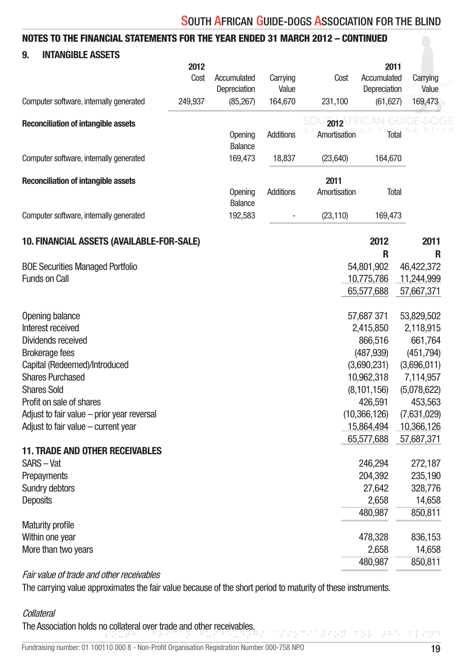#### NOTES TO THE FINANCIAL STATEMENTS FOR THE YEAR ENDED 31 MARCH 2012 – CONTINUED

#### 9. INTANGIBLE ASSETS

|                                            | 2012    |              |           |              | 2011           |             |
|--------------------------------------------|---------|--------------|-----------|--------------|----------------|-------------|
|                                            | Cost    | Accumulated  | Carrying  | Cost         | Accumulated    | Carrying    |
|                                            |         | Depreciation | Value     |              | Depreciation   | Value       |
| Computer software, internally generated    | 249,937 | (85, 267)    | 164,670   | 231,100      | (61, 627)      | 169,473     |
| <b>Reconciliation of intangible assets</b> |         |              |           | 2012         |                |             |
|                                            |         | Opening      | Additions | Amortisation | Total          |             |
|                                            |         | Balance      |           |              |                |             |
| Computer software, internally generated    |         | 169,473      | 18,837    | (23,640)     | 164,670        |             |
| <b>Reconciliation of intangible assets</b> |         |              |           | 2011         |                |             |
|                                            |         | Opening      | Additions | Amortisation | Total          |             |
|                                            |         | Balance      |           |              |                |             |
| Computer software, internally generated    |         | 192,583      |           | (23, 110)    | 169,473        |             |
| 10. FINANCIAL ASSETS (AVAILABLE-FOR-SALE)  |         |              |           |              | 2012           | 2011        |
|                                            |         |              |           |              | R              | R           |
| <b>BOE Securities Managed Portfolio</b>    |         |              |           |              | 54,801,902     | 46,422,372  |
| <b>Funds on Call</b>                       |         |              |           |              | 10,775,786     | 11,244,999  |
|                                            |         |              |           |              | 65,577,688     | 57,667,371  |
| Opening balance                            |         |              |           |              | 57,687 371     | 53,829,502  |
| Interest received                          |         |              |           |              | 2,415,850      | 2,118,915   |
| Dividends received                         |         |              |           |              | 866,516        | 661,764     |
| <b>Brokerage fees</b>                      |         |              |           |              | (487, 939)     | (451, 794)  |
| Capital (Redeemed)/Introduced              |         |              |           |              | (3,690,231)    | (3,696,011) |
| <b>Shares Purchased</b>                    |         |              |           |              | 10,962,318     | 7,114,957   |
| <b>Shares Sold</b>                         |         |              |           |              | (8, 101, 156)  | (5,078,622) |
| Profit on sale of shares                   |         |              |           |              | 426,591        | 453,563     |
| Adjust to fair value - prior year reversal |         |              |           |              | (10, 366, 126) | (7,631,029) |
| Adjust to fair value - current year        |         |              |           |              | 15,864,494     | 10,366,126  |
|                                            |         |              |           |              | 65,577,688     | 57,687,371  |
| <b>11. TRADE AND OTHER RECEIVABLES</b>     |         |              |           |              |                |             |
| SARS-Vat                                   |         |              |           |              | 246,294        | 272,187     |
| Prepayments                                |         |              |           |              | 204,392        | 235,190     |
| Sundry debtors                             |         |              |           |              | 27,642         | 328,776     |
| <b>Deposits</b>                            |         |              |           |              | 2,658          | 14,658      |
|                                            |         |              |           |              | 480,987        | 850,811     |
| <b>Maturity profile</b>                    |         |              |           |              |                |             |
| Within one year                            |         |              |           |              | 478,328        | 836,153     |
| More than two years                        |         |              |           |              | 2,658          | 14,658      |
|                                            |         |              |           |              | 480,987        | 850,811     |
| Fair value of trade and other receivables  |         |              |           |              |                |             |

The carrying value approximates the fair value because of the short period to maturity of these instruments.

#### **Collateral**

The Association holds no collateral over trade and other receivables.

Fundraising number: 01 100110 000 8 - Non-Profit Organisation Registration Number 000-758 NPO 19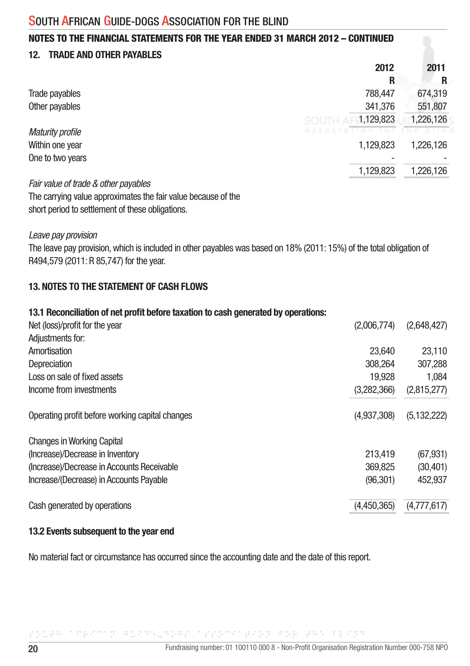## NOTES TO THE FINANCIAL STATEMENTS FOR THE YEAR ENDED 31 MARCH 2012 – CONTINUED

#### 12. TRADE AND OTHER PAYABLES

|                                      | 2012                      | 2011      |
|--------------------------------------|---------------------------|-----------|
|                                      | R                         | R         |
| Trade payables                       | 788,447                   | 674,319   |
| Other payables                       | 341,376                   | 551,807   |
|                                      | 1,129,823<br><b>SOUTH</b> | 1,226,126 |
| <b>Maturity profile</b>              | C.S.S.C.A.                |           |
| Within one year                      | 1,129,823                 | 1,226,126 |
| One to two years                     |                           |           |
|                                      | 1,129,823                 | 1,226,126 |
| Fair value of trade & other payables |                           |           |

The carrying value approximates the fair value because of the short period to settlement of these obligations.

*Leave pay provision*

The leave pay provision, which is included in other payables was based on 18% (2011: 15%) of the total obligation of R494,579 (2011: R 85,747) for the year.

#### 13. NOTES TO THE STATEMENT OF CASH FLOWS

| 13.1 Reconciliation of net profit before taxation to cash generated by operations: |             |               |
|------------------------------------------------------------------------------------|-------------|---------------|
| Net (loss)/profit for the year                                                     | (2,006,774) | (2,648,427)   |
| Adjustments for:                                                                   |             |               |
| Amortisation                                                                       | 23.640      | 23,110        |
| Depreciation                                                                       | 308,264     | 307,288       |
| Loss on sale of fixed assets                                                       | 19.928      | 1.084         |
| Income from investments                                                            | (3,282,366) | (2,815,277)   |
| Operating profit before working capital changes                                    | (4,937,308) | (5, 132, 222) |
| <b>Changes in Working Capital</b>                                                  |             |               |
| (Increase)/Decrease in Inventory                                                   | 213,419     | (67, 931)     |
| (Increase)/Decrease in Accounts Receivable                                         | 369,825     | (30, 401)     |
| Increase/(Decrease) in Accounts Payable                                            | (96, 301)   | 452,937       |
| Cash generated by operations                                                       | (4,450,365) | (4,777,617)   |
|                                                                                    |             |               |

#### 13.2 Events subsequent to the year end

No material fact or circumstance has occurred since the accounting date and the date of this report.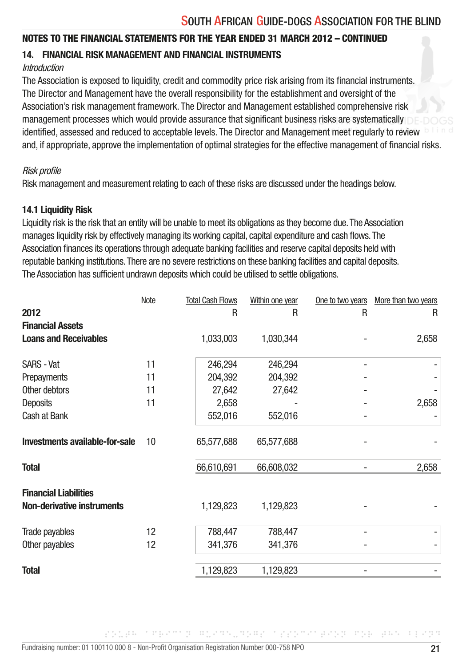#### NOTES TO THE FINANCIAL STATEMENTS FOR THE YEAR ENDED 31 MARCH 2012 – CONTINUED

#### 14. FINANCIAL RISK MANAGEMENT AND FINANCIAL INSTRUMENTS

#### **Introduction**

The Association is exposed to liquidity, credit and commodity price risk arising from its financial instruments. The Director and Management have the overall responsibility for the establishment and oversight of the Association's risk management framework. The Director and Management established comprehensive risk management processes which would provide assurance that significant business risks are systematically identified, assessed and reduced to acceptable levels. The Director and Management meet regularly to review and, if appropriate, approve the implementation of optimal strategies for the effective management of financial risks.

#### Risk profile

Risk management and measurement relating to each of these risks are discussed under the headings below.

#### 14.1 Liquidity Risk

Liquidity risk is the risk that an entity will be unable to meet its obligations as they become due. The Association manages liquidity risk by effectively managing its working capital, capital expenditure and cash flows. The Association finances its operations through adequate banking facilities and reserve capital deposits held with reputable banking institutions. There are no severe restrictions on these banking facilities and capital deposits. The Association has sufficient undrawn deposits which could be utilised to settle obligations.

|                                   | Note | <b>Total Cash Flows</b> | Within one year | One to two years | More than two years |
|-----------------------------------|------|-------------------------|-----------------|------------------|---------------------|
| 2012                              |      | R                       | R               | R                | R                   |
| <b>Financial Assets</b>           |      |                         |                 |                  |                     |
| <b>Loans and Receivables</b>      |      | 1,033,003               | 1,030,344       |                  | 2,658               |
| <b>SARS - Vat</b>                 | 11   | 246,294                 | 246,294         |                  |                     |
| Prepayments                       | 11   | 204,392                 | 204,392         |                  |                     |
| Other debtors                     | 11   | 27,642                  | 27,642          |                  |                     |
|                                   |      |                         |                 |                  |                     |
| Deposits                          | 11   | 2,658                   |                 |                  | 2,658               |
| Cash at Bank                      |      | 552,016                 | 552,016         |                  |                     |
| Investments available-for-sale    | 10   | 65,577,688              | 65,577,688      |                  |                     |
| <b>Total</b>                      |      | 66,610,691              | 66,608,032      |                  | 2,658               |
| <b>Financial Liabilities</b>      |      |                         |                 |                  |                     |
| <b>Non-derivative instruments</b> |      | 1,129,823               | 1,129,823       |                  |                     |
| Trade payables                    | 12   | 788,447                 | 788,447         |                  |                     |
| Other payables                    | 12   | 341,376                 | 341,376         |                  |                     |
| <b>Total</b>                      |      | 1,129,823               | 1,129,823       |                  |                     |
|                                   |      |                         |                 |                  |                     |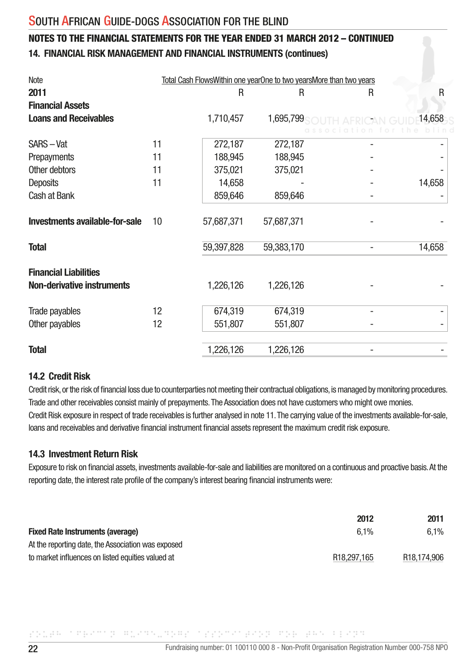# 14. FINANCIAL RISK MANAGEMENT AND FINANCIAL INSTRUMENTS (continues) NOTES TO THE FINANCIAL STATEMENTS FOR THE YEAR ENDED 31 MARCH 2012 – CONTINUED

| <b>Note</b>                    | Total Cash FlowsWithin one yearOne to two yearsMore than two years |            |            |   |        |
|--------------------------------|--------------------------------------------------------------------|------------|------------|---|--------|
| 2011                           |                                                                    | R          | R          | R | R      |
| <b>Financial Assets</b>        |                                                                    |            |            |   |        |
| <b>Loans and Receivables</b>   |                                                                    | 1,710,457  | 1,695,799  |   | 14,658 |
|                                |                                                                    |            |            |   |        |
| SARS-Vat                       | 11                                                                 | 272,187    | 272,187    |   |        |
| Prepayments                    | 11                                                                 | 188,945    | 188,945    |   |        |
| Other debtors                  | 11                                                                 | 375,021    | 375,021    |   |        |
| Deposits                       | 11                                                                 | 14,658     |            |   | 14,658 |
| Cash at Bank                   |                                                                    | 859,646    | 859,646    |   |        |
| Investments available-for-sale | 10                                                                 | 57,687,371 | 57,687,371 |   |        |
| <b>Total</b>                   |                                                                    | 59,397,828 | 59,383,170 |   | 14,658 |
| <b>Financial Liabilities</b>   |                                                                    |            |            |   |        |
| Non-derivative instruments     |                                                                    | 1,226,126  | 1,226,126  |   |        |
| Trade payables                 | 12                                                                 | 674,319    | 674,319    |   |        |
| Other payables                 | 12                                                                 | 551,807    | 551,807    |   | -      |
| <b>Total</b>                   |                                                                    | 1,226,126  | 1,226,126  |   |        |

#### 14.2 Credit Risk

Credit risk, or the risk of financial loss due to counterparties not meeting their contractual obligations, is managed by monitoring procedures. Trade and other receivables consist mainly of prepayments. The Association does not have customers who might owe monies. Credit Risk exposure in respect of trade receivables is further analysed in note 11. The carrying value of the investments available-for-sale, loans and receivables and derivative financial instrument financial assets represent the maximum credit risk exposure.

#### 14.3 Investment Return Risk

Exposure to risk on financial assets, investments available-for-sale and liabilities are monitored on a continuous and proactive basis. At the reporting date, the interest rate profile of the company's interest bearing financial instruments were:

|                                                    | 2012                     | 2011                       |
|----------------------------------------------------|--------------------------|----------------------------|
| <b>Fixed Rate Instruments (average)</b>            | $6.1\%$                  | 6.1%                       |
| At the reporting date, the Association was exposed |                          |                            |
| to market influences on listed equities valued at  | R <sub>18</sub> .297.165 | R <sub>18</sub> , 174, 906 |

SOUTH AFRICAN GUIDE-DOGS ASSOCIATION FOR THE BLIND FOR THE BLIND FOR THE BLIND FOR THE BLIND FOR THE BLIND FOR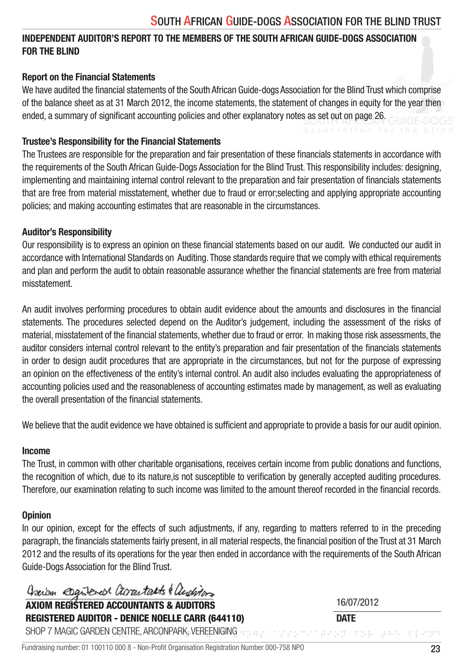#### INDEPENDENT AUDITOR'S REPORT TO THE MEMBERS OF THE SOUTH AFRICAN GUIDE-DOGS ASSOCIATION FOR THE BLIND

#### Report on the Financial Statements

We have audited the financial statements of the South African Guide-dogs Association for the Blind Trust which comprise of the balance sheet as at 31 March 2012, the income statements, the statement of changes in equity for the year then ended, a summary of significant accounting policies and other explanatory notes as set out on page 26.

#### Trustee's Responsibility for the Financial Statements

The Trustees are responsible for the preparation and fair presentation of these financials statements in accordance with the requirements of the South African Guide-Dogs Association for the Blind Trust. This responsibility includes: designing, implementing and maintaining internal control relevant to the preparation and fair presentation of financials statements that are free from material misstatement, whether due to fraud or error;selecting and applying appropriate accounting policies; and making accounting estimates that are reasonable in the circumstances.

#### Auditor's Responsibility

Our responsibility is to express an opinion on these financial statements based on our audit. We conducted our audit in accordance with International Standards on Auditing. Those standards require that we comply with ethical requirements and plan and perform the audit to obtain reasonable assurance whether the financial statements are free from material misstatement.

An audit involves performing procedures to obtain audit evidence about the amounts and disclosures in the financial statements. The procedures selected depend on the Auditor's judgement, including the assessment of the risks of material, misstatement of the financial statements, whether due to fraud or error. In making those risk assessments, the auditor considers internal control relevant to the entity's preparation and fair presentation of the financials statements in order to design audit procedures that are appropriate in the circumstances, but not for the purpose of expressing an opinion on the effectiveness of the entity's internal control. An audit also includes evaluating the appropriateness of accounting policies used and the reasonableness of accounting estimates made by management, as well as evaluating the overall presentation of the financial statements.

We believe that the audit evidence we have obtained is sufficient and appropriate to provide a basis for our audit opinion.

#### Income

The Trust, in common with other charitable organisations, receives certain income from public donations and functions, the recognition of which, due to its nature,is not susceptible to verification by generally accepted auditing procedures. Therefore, our examination relating to such income was limited to the amount thereof recorded in the financial records.

#### **Opinion**

In our opinion, except for the effects of such adjustments, if any, regarding to matters referred to in the preceding paragraph, the financials statements fairly present, in all material respects, the financial position of the Trust at 31 March 2012 and the results of its operations for the year then ended in accordance with the requirements of the South African Guide-Dogs Association for the Blind Trust.

Jarion esgitered accountants & auchtors

AXIOM REGISTERED ACCOUNTANTS & AUDITORS REGISTERED AUDITOR - DENICE NOELLE CARR (644110) SHOP 7 MAGIC GARDEN CENTRE, ARCONPARK, VEREENIGING 16/07/2012 **DATE**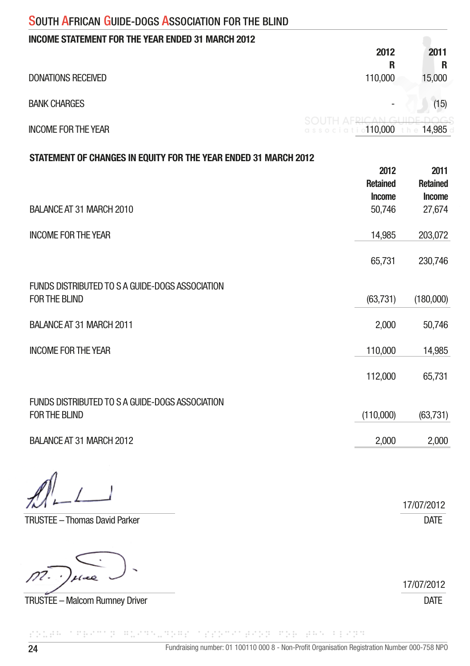| INCOME STATEMENT FOR THE YEAR ENDED 31 MARCH 2012 |                                                           |        |
|---------------------------------------------------|-----------------------------------------------------------|--------|
|                                                   | 2012                                                      | 2011   |
|                                                   | R                                                         |        |
| <b>DONATIONS RECEIVED</b>                         | 110,000                                                   | 15.000 |
| <b>BANK CHARGES</b>                               |                                                           | (15)   |
| <b>INCOME FOR THE YEAR</b>                        | SOUTH AFRICAN GUIDE-DOGS<br>associatio 110,000 the 14,985 |        |

#### STATEMENT OF CHANGES IN EQUITY FOR THE YEAR ENDED 31 MARCH 2012

|                                                                  | 2012<br><b>Retained</b><br><b>Income</b> | 2011<br><b>Retained</b><br><b>Income</b> |
|------------------------------------------------------------------|------------------------------------------|------------------------------------------|
| BALANCE AT 31 MARCH 2010                                         | 50,746                                   | 27,674                                   |
| <b>INCOME FOR THE YEAR</b>                                       | 14,985                                   | 203,072                                  |
|                                                                  | 65,731                                   | 230,746                                  |
| FUNDS DISTRIBUTED TO S A GUIDE-DOGS ASSOCIATION<br>FOR THE BLIND | (63,731)                                 | (180,000)                                |
| BALANCE AT 31 MARCH 2011                                         | 2,000                                    | 50,746                                   |
| <b>INCOME FOR THE YEAR</b>                                       | 110,000                                  | 14,985                                   |
|                                                                  | 112,000                                  | 65,731                                   |
| FUNDS DISTRIBUTED TO S A GUIDE-DOGS ASSOCIATION                  |                                          |                                          |
| FOR THE BLIND                                                    | (110,000)                                | (63,731)                                 |
| BALANCE AT 31 MARCH 2012                                         | 2,000                                    | 2,000                                    |

TRUSTEE – Thomas David Parker DATE CHARGES AND THE SERVICE OF THE STATE OF THE STATE OF THE STATE OF THE STATE

 $\iota$ ieo

TRUSTEE – Malcom Rumney Driver DATE CHARGES AND THE STATE OF THE STATE OF THE STATE OF THE STATE OF THE STATE O

SOUTH AFRICAN GUIDE-DOGS ASSOCIATION FOR THE BLIND

17/07/2012

17/07/2012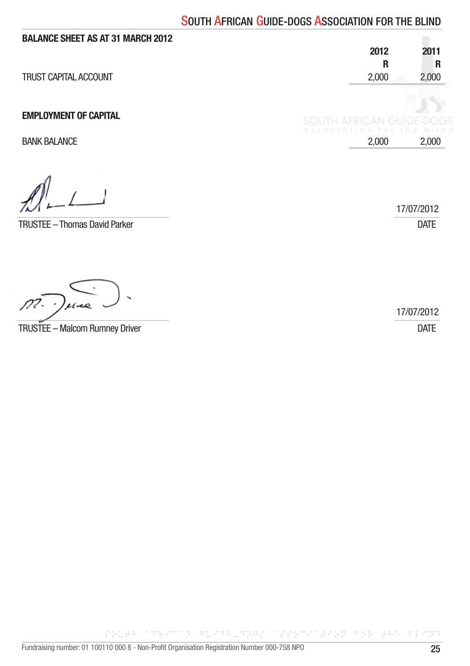| <b>BALANCE SHEET AS AT 31 MARCH 2012</b> |           |             |
|------------------------------------------|-----------|-------------|
|                                          | 2012<br>R | 2011<br>R   |
| TRUST CAPITAL ACCOUNT                    | 2,000     | 2,000       |
| <b>EMPLOYMENT OF CAPITAL</b>             | SO        |             |
| <b>BANK BALANCE</b>                      | 2,000     | 2,000       |
|                                          |           |             |
|                                          |           | 17/07/2012  |
| TRUSTEE - Thomas David Parker            |           | <b>DATE</b> |
|                                          |           |             |
| $\mu$ ce                                 |           | 17/07/2012  |
|                                          |           |             |

TRUSTEE – Malcom Rumney Driver DATE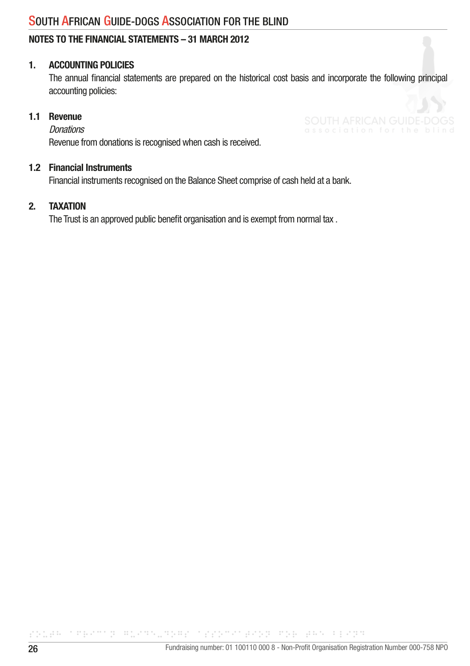#### NOTES TO THE FINANCIAL STATEMENTS – 31 MARCH 2012

#### 1. ACCOUNTING POLICIES

 The annual financial statements are prepared on the historical cost basis and incorporate the following principal accounting policies:

#### 1.1 Revenue

**Donations** Revenue from donations is recognised when cash is received.

#### 1.2 Financial Instruments

Financial instruments recognised on the Balance Sheet comprise of cash held at a bank.

#### 2. TAXATION

The Trust is an approved public benefit organisation and is exempt from normal tax .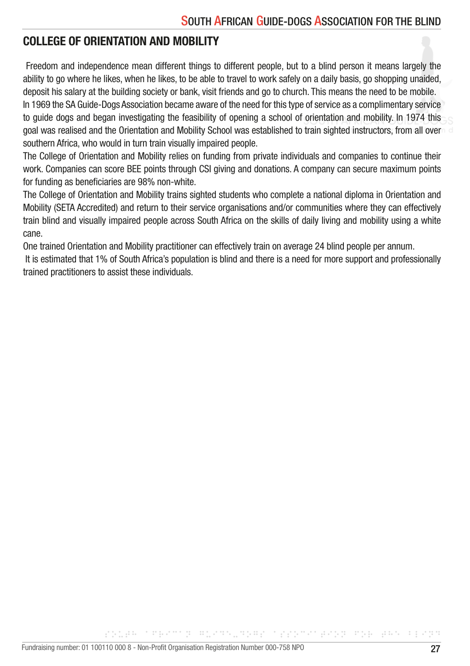# COLLEGE OF ORIENTATION AND MOBILITY

 Freedom and independence mean different things to different people, but to a blind person it means largely the ability to go where he likes, when he likes, to be able to travel to work safely on a daily basis, go shopping unaided, deposit his salary at the building society or bank, visit friends and go to church. This means the need to be mobile. In 1969 the SA Guide-Dogs Association became aware of the need for this type of service as a complimentary service to guide dogs and began investigating the feasibility of opening a school of orientation and mobility. In 1974 this goal was realised and the Orientation and Mobility School was established to train sighted instructors, from all over southern Africa, who would in turn train visually impaired people.

The College of Orientation and Mobility relies on funding from private individuals and companies to continue their work. Companies can score BEE points through CSI giving and donations. A company can secure maximum points for funding as beneficiaries are 98% non-white.

The College of Orientation and Mobility trains sighted students who complete a national diploma in Orientation and Mobility (SETA Accredited) and return to their service organisations and/or communities where they can effectively train blind and visually impaired people across South Africa on the skills of daily living and mobility using a white cane.

One trained Orientation and Mobility practitioner can effectively train on average 24 blind people per annum.

 It is estimated that 1% of South Africa's population is blind and there is a need for more support and professionally trained practitioners to assist these individuals.